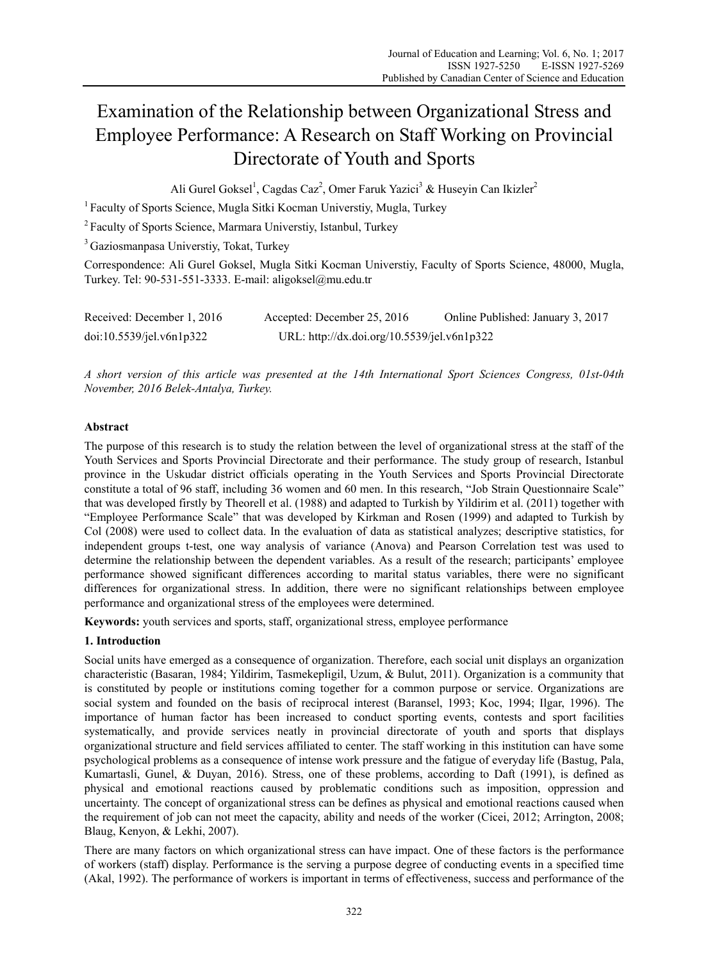# Examination of the Relationship between Organizational Stress and Employee Performance: A Research on Staff Working on Provincial Directorate of Youth and Sports

Ali Gurel Goksel<sup>1</sup>, Cagdas Caz<sup>2</sup>, Omer Faruk Yazici<sup>3</sup> & Huseyin Can Ikizler<sup>2</sup>

1 Faculty of Sports Science, Mugla Sitki Kocman Universtiy, Mugla, Turkey

2 Faculty of Sports Science, Marmara Universtiy, Istanbul, Turkey

3 Gaziosmanpasa Universtiy, Tokat, Turkey

Correspondence: Ali Gurel Goksel, Mugla Sitki Kocman Universtiy, Faculty of Sports Science, 48000, Mugla, Turkey. Tel: 90-531-551-3333. E-mail: aligoksel@mu.edu.tr

| Received: December 1, 2016 | Accepted: December 25, 2016                 | Online Published: January 3, 2017 |
|----------------------------|---------------------------------------------|-----------------------------------|
| doi:10.5539/jel.v6n1p322   | URL: http://dx.doi.org/10.5539/jel.v6n1p322 |                                   |

*A short version of this article was presented at the 14th International Sport Sciences Congress, 01st-04th November, 2016 Belek-Antalya, Turkey.* 

## **Abstract**

The purpose of this research is to study the relation between the level of organizational stress at the staff of the Youth Services and Sports Provincial Directorate and their performance. The study group of research, Istanbul province in the Uskudar district officials operating in the Youth Services and Sports Provincial Directorate constitute a total of 96 staff, including 36 women and 60 men. In this research, "Job Strain Questionnaire Scale" that was developed firstly by Theorell et al. (1988) and adapted to Turkish by Yildirim et al. (2011) together with "Employee Performance Scale" that was developed by Kirkman and Rosen (1999) and adapted to Turkish by Col (2008) were used to collect data. In the evaluation of data as statistical analyzes; descriptive statistics, for independent groups t-test, one way analysis of variance (Anova) and Pearson Correlation test was used to determine the relationship between the dependent variables. As a result of the research; participants' employee performance showed significant differences according to marital status variables, there were no significant differences for organizational stress. In addition, there were no significant relationships between employee performance and organizational stress of the employees were determined.

**Keywords:** youth services and sports, staff, organizational stress, employee performance

## **1. Introduction**

Social units have emerged as a consequence of organization. Therefore, each social unit displays an organization characteristic (Basaran, 1984; Yildirim, Tasmekepligil, Uzum, & Bulut, 2011). Organization is a community that is constituted by people or institutions coming together for a common purpose or service. Organizations are social system and founded on the basis of reciprocal interest (Baransel, 1993; Koc, 1994; Ilgar, 1996). The importance of human factor has been increased to conduct sporting events, contests and sport facilities systematically, and provide services neatly in provincial directorate of youth and sports that displays organizational structure and field services affiliated to center. The staff working in this institution can have some psychological problems as a consequence of intense work pressure and the fatigue of everyday life (Bastug, Pala, Kumartasli, Gunel, & Duyan, 2016). Stress, one of these problems, according to Daft (1991), is defined as physical and emotional reactions caused by problematic conditions such as imposition, oppression and uncertainty. The concept of organizational stress can be defines as physical and emotional reactions caused when the requirement of job can not meet the capacity, ability and needs of the worker (Cicei, 2012; Arrington, 2008; Blaug, Kenyon, & Lekhi, 2007).

There are many factors on which organizational stress can have impact. One of these factors is the performance of workers (staff) display. Performance is the serving a purpose degree of conducting events in a specified time (Akal, 1992). The performance of workers is important in terms of effectiveness, success and performance of the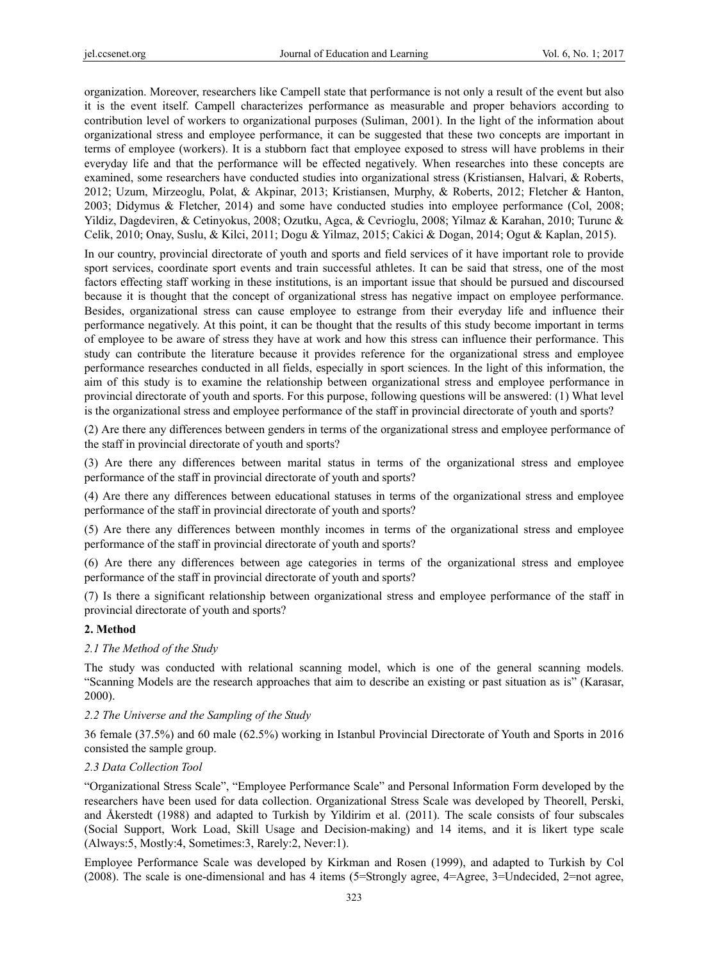organization. Moreover, researchers like Campell state that performance is not only a result of the event but also it is the event itself. Campell characterizes performance as measurable and proper behaviors according to contribution level of workers to organizational purposes (Suliman, 2001). In the light of the information about organizational stress and employee performance, it can be suggested that these two concepts are important in terms of employee (workers). It is a stubborn fact that employee exposed to stress will have problems in their everyday life and that the performance will be effected negatively. When researches into these concepts are examined, some researchers have conducted studies into organizational stress (Kristiansen, Halvari, & Roberts, 2012; Uzum, Mirzeoglu, Polat, & Akpinar, 2013; Kristiansen, Murphy, & Roberts, 2012; Fletcher & Hanton, 2003; Didymus & Fletcher, 2014) and some have conducted studies into employee performance (Col, 2008; Yildiz, Dagdeviren, & Cetinyokus, 2008; Ozutku, Agca, & Cevrioglu, 2008; Yilmaz & Karahan, 2010; Turunc & Celik, 2010; Onay, Suslu, & Kilci, 2011; Dogu & Yilmaz, 2015; Cakici & Dogan, 2014; Ogut & Kaplan, 2015).

In our country, provincial directorate of youth and sports and field services of it have important role to provide sport services, coordinate sport events and train successful athletes. It can be said that stress, one of the most factors effecting staff working in these institutions, is an important issue that should be pursued and discoursed because it is thought that the concept of organizational stress has negative impact on employee performance. Besides, organizational stress can cause employee to estrange from their everyday life and influence their performance negatively. At this point, it can be thought that the results of this study become important in terms of employee to be aware of stress they have at work and how this stress can influence their performance. This study can contribute the literature because it provides reference for the organizational stress and employee performance researches conducted in all fields, especially in sport sciences. In the light of this information, the aim of this study is to examine the relationship between organizational stress and employee performance in provincial directorate of youth and sports. For this purpose, following questions will be answered: (1) What level is the organizational stress and employee performance of the staff in provincial directorate of youth and sports?

(2) Are there any differences between genders in terms of the organizational stress and employee performance of the staff in provincial directorate of youth and sports?

(3) Are there any differences between marital status in terms of the organizational stress and employee performance of the staff in provincial directorate of youth and sports?

(4) Are there any differences between educational statuses in terms of the organizational stress and employee performance of the staff in provincial directorate of youth and sports?

(5) Are there any differences between monthly incomes in terms of the organizational stress and employee performance of the staff in provincial directorate of youth and sports?

(6) Are there any differences between age categories in terms of the organizational stress and employee performance of the staff in provincial directorate of youth and sports?

(7) Is there a significant relationship between organizational stress and employee performance of the staff in provincial directorate of youth and sports?

## **2. Method**

## *2.1 The Method of the Study*

The study was conducted with relational scanning model, which is one of the general scanning models. "Scanning Models are the research approaches that aim to describe an existing or past situation as is" (Karasar, 2000).

## *2.2 The Universe and the Sampling of the Study*

36 female (37.5%) and 60 male (62.5%) working in Istanbul Provincial Directorate of Youth and Sports in 2016 consisted the sample group.

## *2.3 Data Collection Tool*

"Organizational Stress Scale", "Employee Performance Scale" and Personal Information Form developed by the researchers have been used for data collection. Organizational Stress Scale was developed by Theorell, Perski, and Åkerstedt (1988) and adapted to Turkish by Yildirim et al. (2011). The scale consists of four subscales (Social Support, Work Load, Skill Usage and Decision-making) and 14 items, and it is likert type scale (Always:5, Mostly:4, Sometimes:3, Rarely:2, Never:1).

Employee Performance Scale was developed by Kirkman and Rosen (1999), and adapted to Turkish by Col (2008). The scale is one-dimensional and has 4 items (5=Strongly agree, 4=Agree, 3=Undecided, 2=not agree,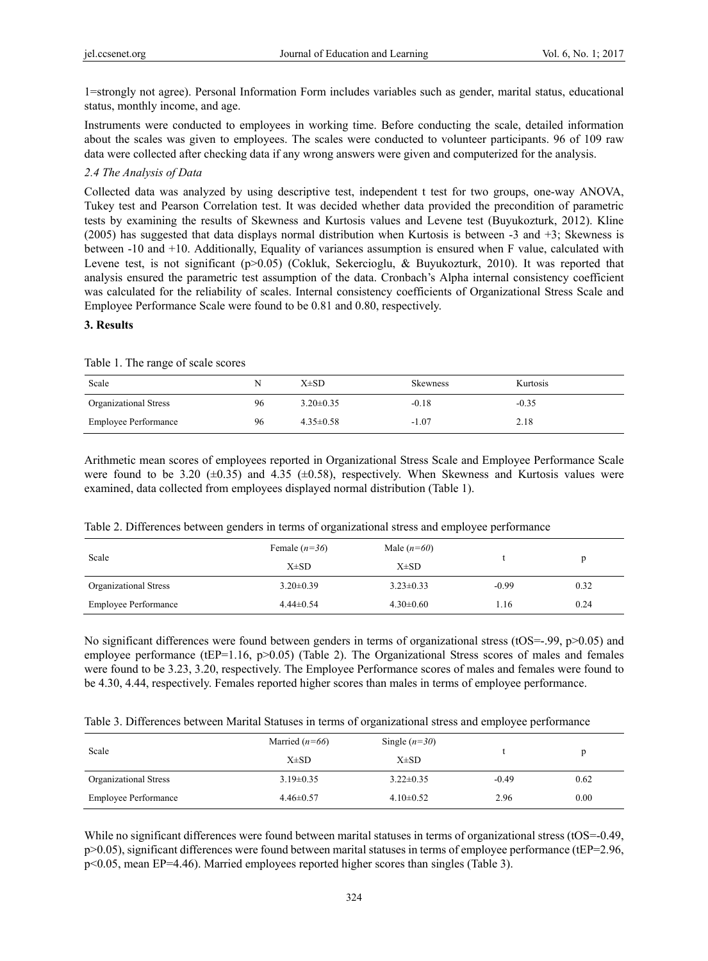1=strongly not agree). Personal Information Form includes variables such as gender, marital status, educational status, monthly income, and age.

Instruments were conducted to employees in working time. Before conducting the scale, detailed information about the scales was given to employees. The scales were conducted to volunteer participants. 96 of 109 raw data were collected after checking data if any wrong answers were given and computerized for the analysis.

### *2.4 The Analysis of Data*

Collected data was analyzed by using descriptive test, independent t test for two groups, one-way ANOVA, Tukey test and Pearson Correlation test. It was decided whether data provided the precondition of parametric tests by examining the results of Skewness and Kurtosis values and Levene test (Buyukozturk, 2012). Kline (2005) has suggested that data displays normal distribution when Kurtosis is between -3 and +3; Skewness is between -10 and +10. Additionally, Equality of variances assumption is ensured when F value, calculated with Levene test, is not significant (p>0.05) (Cokluk, Sekercioglu, & Buyukozturk, 2010). It was reported that analysis ensured the parametric test assumption of the data. Cronbach's Alpha internal consistency coefficient was calculated for the reliability of scales. Internal consistency coefficients of Organizational Stress Scale and Employee Performance Scale were found to be 0.81 and 0.80, respectively.

## **3. Results**

Table 1. The range of scale scores

| Scale                        | N  | X±SD            | <b>Skewness</b> | Kurtosis |
|------------------------------|----|-----------------|-----------------|----------|
| <b>Organizational Stress</b> | 96 | $3.20 \pm 0.35$ | $-0.18$         | $-0.35$  |
| <b>Employee Performance</b>  | 96 | $4.35 \pm 0.58$ | $-1.07$         | 2.18     |

Arithmetic mean scores of employees reported in Organizational Stress Scale and Employee Performance Scale were found to be 3.20  $(\pm 0.35)$  and 4.35  $(\pm 0.58)$ , respectively. When Skewness and Kurtosis values were examined, data collected from employees displayed normal distribution (Table 1).

|  |  |  |  | Table 2. Differences between genders in terms of organizational stress and employee performance |
|--|--|--|--|-------------------------------------------------------------------------------------------------|
|  |  |  |  |                                                                                                 |

| Scale                       | Female $(n=36)$ | Male $(n=60)$   |         |      |
|-----------------------------|-----------------|-----------------|---------|------|
|                             | $X\pm SD$       | $X\pm SD$       |         |      |
| Organizational Stress       | $3.20 \pm 0.39$ | $3.23 \pm 0.33$ | $-0.99$ | 0.32 |
| <b>Employee Performance</b> | $4.44\pm0.54$   | $4.30\pm0.60$   | 1.16    | 0.24 |

No significant differences were found between genders in terms of organizational stress (tOS=-.99,  $p>0.05$ ) and employee performance (tEP=1.16, p>0.05) (Table 2). The Organizational Stress scores of males and females were found to be 3.23, 3.20, respectively. The Employee Performance scores of males and females were found to be 4.30, 4.44, respectively. Females reported higher scores than males in terms of employee performance.

|  |  |  |  |  | Table 3. Differences between Marital Statuses in terms of organizational stress and employee performance |
|--|--|--|--|--|----------------------------------------------------------------------------------------------------------|
|  |  |  |  |  |                                                                                                          |

| Scale                       | Married $(n=66)$<br>$X\pm SD$ | Single $(n=30)$<br>$X\pm SD$ |         |      |
|-----------------------------|-------------------------------|------------------------------|---------|------|
| Organizational Stress       | $3.19\pm0.35$                 | $3.22 \pm 0.35$              | $-0.49$ | 0.62 |
| <b>Employee Performance</b> | $4.46 \pm 0.57$               | $4.10\pm0.52$                | 2.96    | 0.00 |

While no significant differences were found between marital statuses in terms of organizational stress (tOS=-0.49, p>0.05), significant differences were found between marital statuses in terms of employee performance (tEP=2.96, p<0.05, mean EP=4.46). Married employees reported higher scores than singles (Table 3).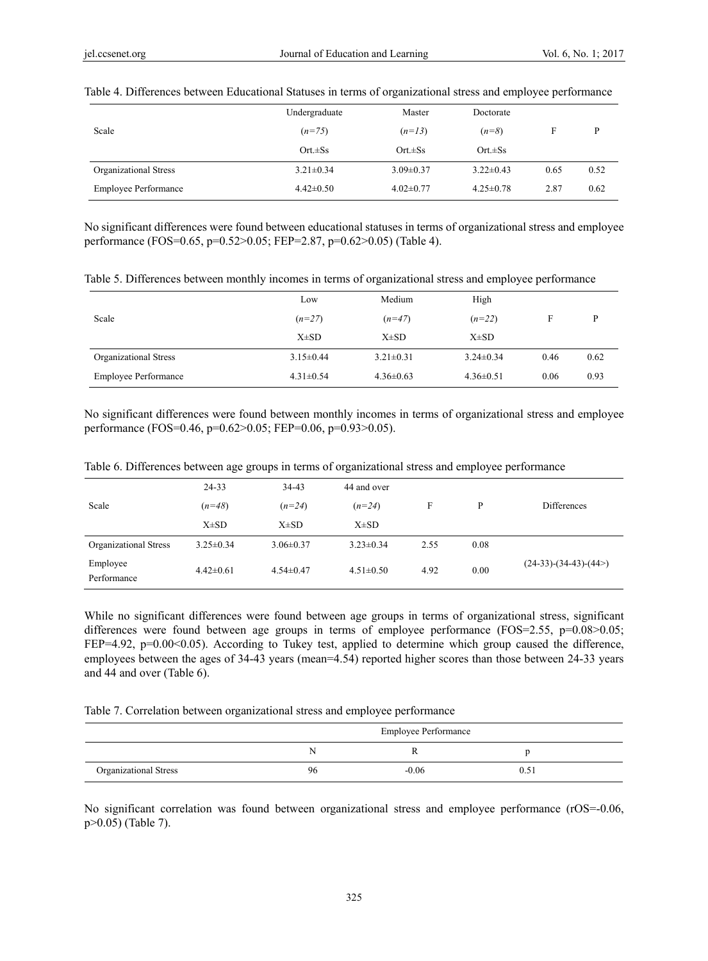|                             | Undergraduate   | Master          | Doctorate       |      |      |
|-----------------------------|-----------------|-----------------|-----------------|------|------|
| Scale                       | $(n=75)$        | $(n=13)$        | $(n=8)$         | F    | D    |
|                             | $Ort.\pm Ss$    | $Ort.\pm Ss$    | $Ort.\pm Ss$    |      |      |
| Organizational Stress       | $3.21 \pm 0.34$ | $3.09 \pm 0.37$ | $3.22 \pm 0.43$ | 0.65 | 0.52 |
| <b>Employee Performance</b> | $4.42 \pm 0.50$ | $4.02 \pm 0.77$ | $4.25 \pm 0.78$ | 2.87 | 0.62 |

#### Table 4. Differences between Educational Statuses in terms of organizational stress and employee performance

No significant differences were found between educational statuses in terms of organizational stress and employee performance (FOS=0.65, p=0.52>0.05; FEP=2.87, p=0.62>0.05) (Table 4).

Table 5. Differences between monthly incomes in terms of organizational stress and employee performance

|                             | Low             | Medium          | High            |      |      |
|-----------------------------|-----------------|-----------------|-----------------|------|------|
| Scale                       | $(n=27)$        | $(n=47)$        | $(n=22)$        | F    | P    |
|                             | $X\pm SD$       | $X\pm SD$       | $X\pm SD$       |      |      |
| Organizational Stress       | $3.15 \pm 0.44$ | $3.21 \pm 0.31$ | $3.24 \pm 0.34$ | 0.46 | 0.62 |
| <b>Employee Performance</b> | $4.31 \pm 0.54$ | $4.36 \pm 0.63$ | $4.36 \pm 0.51$ | 0.06 | 0.93 |

No significant differences were found between monthly incomes in terms of organizational stress and employee performance (FOS=0.46, p=0.62>0.05; FEP=0.06, p=0.93>0.05).

|                         | $24 - 33$       | 34-43           | 44 and over     |      |      |                        |
|-------------------------|-----------------|-----------------|-----------------|------|------|------------------------|
| Scale                   | $(n=48)$        | $(n=24)$        | $(n=24)$        | F    | P    | Differences            |
|                         | $X\pm SD$       | $X\pm SD$       | $X\pm SD$       |      |      |                        |
| Organizational Stress   | $3.25 \pm 0.34$ | $3.06 \pm 0.37$ | $3.23 \pm 0.34$ | 2.55 | 0.08 |                        |
| Employee<br>Performance | $4.42 \pm 0.61$ | $4.54 \pm 0.47$ | $4.51 \pm 0.50$ | 4.92 | 0.00 | $(24-33)-(34-43)-(44)$ |

Table 6. Differences between age groups in terms of organizational stress and employee performance

While no significant differences were found between age groups in terms of organizational stress, significant differences were found between age groups in terms of employee performance ( $FOS = 2.55$ ,  $p = 0.08 > 0.05$ ; FEP=4.92,  $p=0.00<0.05$ ). According to Tukey test, applied to determine which group caused the difference, employees between the ages of 34-43 years (mean=4.54) reported higher scores than those between 24-33 years and 44 and over (Table 6).

Table 7. Correlation between organizational stress and employee performance

|                              | <b>Employee Performance</b> |         |  |  |  |
|------------------------------|-----------------------------|---------|--|--|--|
|                              | Ν                           |         |  |  |  |
| <b>Organizational Stress</b> | 96                          | $-0.06$ |  |  |  |

No significant correlation was found between organizational stress and employee performance (rOS=-0.06, p>0.05) (Table 7).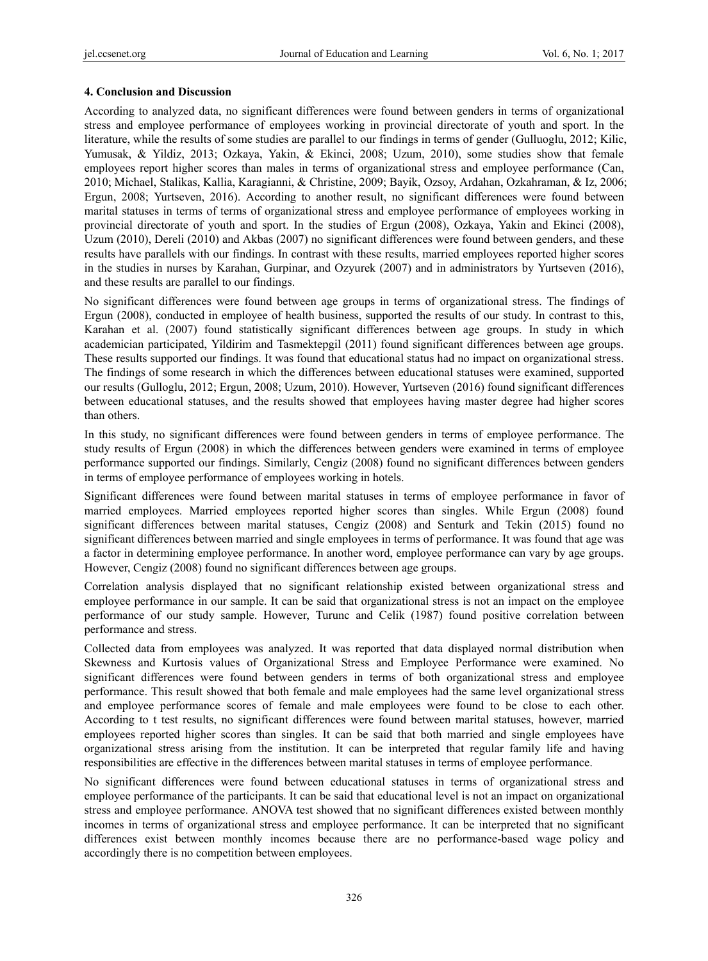## **4. Conclusion and Discussion**

According to analyzed data, no significant differences were found between genders in terms of organizational stress and employee performance of employees working in provincial directorate of youth and sport. In the literature, while the results of some studies are parallel to our findings in terms of gender (Gulluoglu, 2012; Kilic, Yumusak, & Yildiz, 2013; Ozkaya, Yakin, & Ekinci, 2008; Uzum, 2010), some studies show that female employees report higher scores than males in terms of organizational stress and employee performance (Can, 2010; Michael, Stalikas, Kallia, Karagianni, & Christine, 2009; Bayik, Ozsoy, Ardahan, Ozkahraman, & Iz, 2006; Ergun, 2008; Yurtseven, 2016). According to another result, no significant differences were found between marital statuses in terms of terms of organizational stress and employee performance of employees working in provincial directorate of youth and sport. In the studies of Ergun (2008), Ozkaya, Yakin and Ekinci (2008), Uzum (2010), Dereli (2010) and Akbas (2007) no significant differences were found between genders, and these results have parallels with our findings. In contrast with these results, married employees reported higher scores in the studies in nurses by Karahan, Gurpinar, and Ozyurek (2007) and in administrators by Yurtseven (2016), and these results are parallel to our findings.

No significant differences were found between age groups in terms of organizational stress. The findings of Ergun (2008), conducted in employee of health business, supported the results of our study. In contrast to this, Karahan et al. (2007) found statistically significant differences between age groups. In study in which academician participated, Yildirim and Tasmektepgil (2011) found significant differences between age groups. These results supported our findings. It was found that educational status had no impact on organizational stress. The findings of some research in which the differences between educational statuses were examined, supported our results (Gulloglu, 2012; Ergun, 2008; Uzum, 2010). However, Yurtseven (2016) found significant differences between educational statuses, and the results showed that employees having master degree had higher scores than others.

In this study, no significant differences were found between genders in terms of employee performance. The study results of Ergun (2008) in which the differences between genders were examined in terms of employee performance supported our findings. Similarly, Cengiz (2008) found no significant differences between genders in terms of employee performance of employees working in hotels.

Significant differences were found between marital statuses in terms of employee performance in favor of married employees. Married employees reported higher scores than singles. While Ergun (2008) found significant differences between marital statuses, Cengiz (2008) and Senturk and Tekin (2015) found no significant differences between married and single employees in terms of performance. It was found that age was a factor in determining employee performance. In another word, employee performance can vary by age groups. However, Cengiz (2008) found no significant differences between age groups.

Correlation analysis displayed that no significant relationship existed between organizational stress and employee performance in our sample. It can be said that organizational stress is not an impact on the employee performance of our study sample. However, Turunc and Celik (1987) found positive correlation between performance and stress.

Collected data from employees was analyzed. It was reported that data displayed normal distribution when Skewness and Kurtosis values of Organizational Stress and Employee Performance were examined. No significant differences were found between genders in terms of both organizational stress and employee performance. This result showed that both female and male employees had the same level organizational stress and employee performance scores of female and male employees were found to be close to each other. According to t test results, no significant differences were found between marital statuses, however, married employees reported higher scores than singles. It can be said that both married and single employees have organizational stress arising from the institution. It can be interpreted that regular family life and having responsibilities are effective in the differences between marital statuses in terms of employee performance.

No significant differences were found between educational statuses in terms of organizational stress and employee performance of the participants. It can be said that educational level is not an impact on organizational stress and employee performance. ANOVA test showed that no significant differences existed between monthly incomes in terms of organizational stress and employee performance. It can be interpreted that no significant differences exist between monthly incomes because there are no performance-based wage policy and accordingly there is no competition between employees.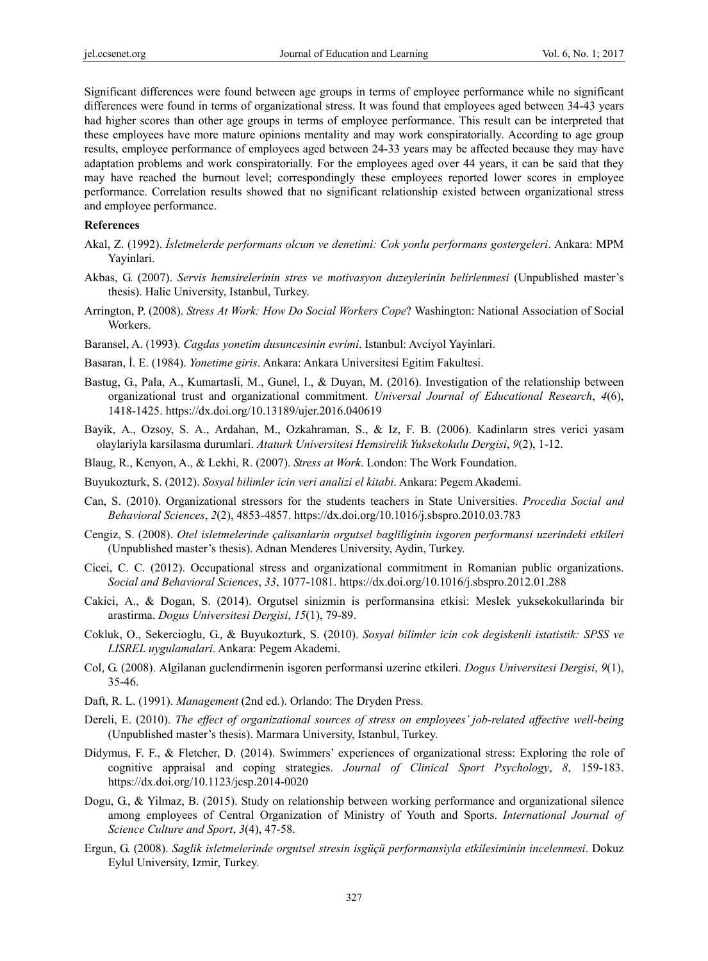Significant differences were found between age groups in terms of employee performance while no significant differences were found in terms of organizational stress. It was found that employees aged between 34-43 years had higher scores than other age groups in terms of employee performance. This result can be interpreted that these employees have more mature opinions mentality and may work conspiratorially. According to age group results, employee performance of employees aged between 24-33 years may be affected because they may have adaptation problems and work conspiratorially. For the employees aged over 44 years, it can be said that they may have reached the burnout level; correspondingly these employees reported lower scores in employee performance. Correlation results showed that no significant relationship existed between organizational stress and employee performance.

#### **References**

- Akal, Z. (1992). *İsletmelerde performans olcum ve denetimi: Cok yonlu performans gostergeleri*. Ankara: MPM Yayinlari.
- Akbas, G. (2007). *Servis hemsirelerinin stres ve motivasyon duzeylerinin belirlenmesi* (Unpublished master's thesis). Halic University, Istanbul, Turkey.
- Arrington, P. (2008). *Stress At Work: How Do Social Workers Cope*? Washington: National Association of Social Workers.
- Baransel, A. (1993). *Cagdas yonetim dusuncesinin evrimi*. Istanbul: Avciyol Yayinlari.
- Basaran, İ. E. (1984). *Yonetime giris*. Ankara: Ankara Universitesi Egitim Fakultesi.
- Bastug, G., Pala, A., Kumartasli, M., Gunel, I., & Duyan, M. (2016). Investigation of the relationship between organizational trust and organizational commitment. *Universal Journal of Educational Research*, *4*(6), 1418-1425. https://dx.doi.org/10.13189/ujer.2016.040619
- Bayik, A., Ozsoy, S. A., Ardahan, M., Ozkahraman, S., & Iz, F. B. (2006). Kadinların stres verici yasam olaylariyla karsilasma durumlari. *Ataturk Universitesi Hemsirelik Yuksekokulu Dergisi*, *9*(2), 1-12.
- Blaug, R., Kenyon, A., & Lekhi, R. (2007). *Stress at Work*. London: The Work Foundation.
- Buyukozturk, S. (2012). *Sosyal bilimler icin veri analizi el kitabi*. Ankara: Pegem Akademi.
- Can, S. (2010). Organizational stressors for the students teachers in State Universities. *Procedia Social and Behavioral Sciences*, *2*(2), 4853-4857. https://dx.doi.org/10.1016/j.sbspro.2010.03.783
- Cengiz, S. (2008). *Otel isletmelerinde çalisanlarin orgutsel bagliliginin isgoren performansi uzerindeki etkileri* (Unpublished master's thesis). Adnan Menderes University, Aydin, Turkey.
- Cicei, C. C. (2012). Occupational stress and organizational commitment in Romanian public organizations. *Social and Behavioral Sciences*, *33*, 1077-1081. https://dx.doi.org/10.1016/j.sbspro.2012.01.288
- Cakici, A., & Dogan, S. (2014). Orgutsel sinizmin is performansina etkisi: Meslek yuksekokullarinda bir arastirma. *Dogus Universitesi Dergisi*, *15*(1), 79-89.
- Cokluk, O., Sekercioglu, G., & Buyukozturk, S. (2010). *Sosyal bilimler icin cok degiskenli istatistik: SPSS ve LISREL uygulamalari*. Ankara: Pegem Akademi.
- Col, G. (2008). Algilanan guclendirmenin isgoren performansi uzerine etkileri. *Dogus Universitesi Dergisi*, *9*(1), 35-46.
- Daft, R. L. (1991). *Management* (2nd ed.). Orlando: The Dryden Press.
- Dereli, E. (2010). *The effect of organizational sources of stress on employees' job-related affective well-being*  (Unpublished master's thesis). Marmara University, Istanbul, Turkey.
- Didymus, F. F., & Fletcher, D. (2014). Swimmers' experiences of organizational stress: Exploring the role of cognitive appraisal and coping strategies. *Journal of Clinical Sport Psychology*, *8*, 159-183. https://dx.doi.org/10.1123/jcsp.2014-0020
- Dogu, G., & Yilmaz, B. (2015). Study on relationship between working performance and organizational silence among employees of Central Organization of Ministry of Youth and Sports. *International Journal of Science Culture and Sport*, *3*(4), 47-58.
- Ergun, G. (2008). *Saglik isletmelerinde orgutsel stresin isgüçü performansiyla etkilesiminin incelenmesi*. Dokuz Eylul University, Izmir, Turkey.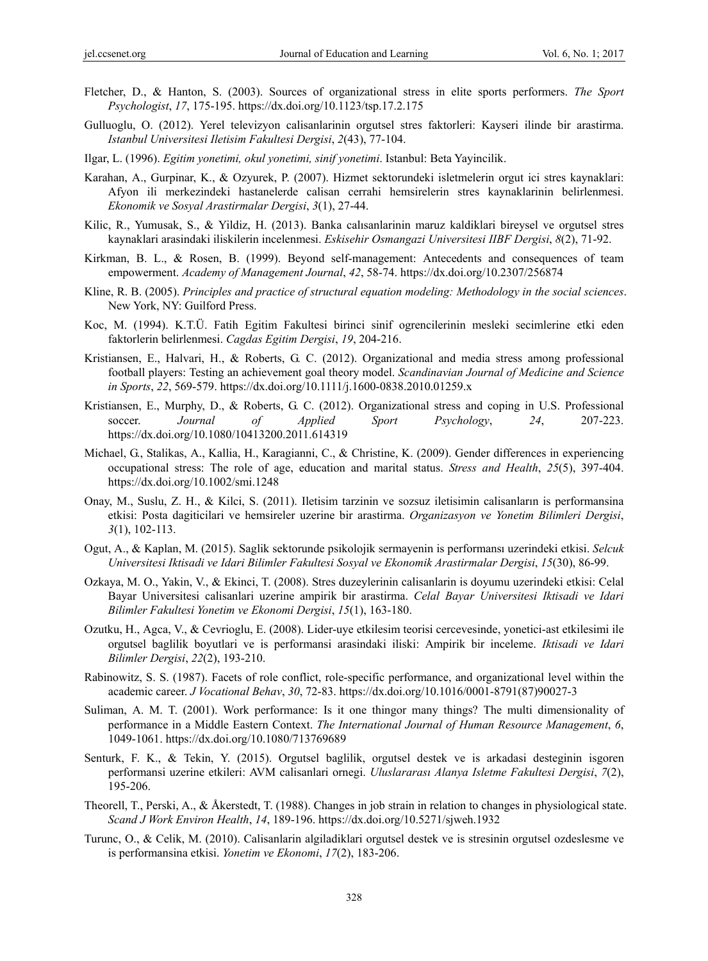- Fletcher, D., & Hanton, S. (2003). Sources of organizational stress in elite sports performers. *The Sport Psychologist*, *17*, 175-195. https://dx.doi.org/10.1123/tsp.17.2.175
- Gulluoglu, O. (2012). Yerel televizyon calisanlarinin orgutsel stres faktorleri: Kayseri ilinde bir arastirma. *Istanbul Universitesi Iletisim Fakultesi Dergisi*, *2*(43), 77-104.
- Ilgar, L. (1996). *Egitim yonetimi, okul yonetimi, sinif yonetimi*. Istanbul: Beta Yayincilik.
- Karahan, A., Gurpinar, K., & Ozyurek, P. (2007). Hizmet sektorundeki isletmelerin orgut ici stres kaynaklari: Afyon ili merkezindeki hastanelerde calisan cerrahi hemsirelerin stres kaynaklarinin belirlenmesi. *Ekonomik ve Sosyal Arastirmalar Dergisi*, *3*(1), 27-44.
- Kilic, R., Yumusak, S., & Yildiz, H. (2013). Banka calısanlarinin maruz kaldiklari bireysel ve orgutsel stres kaynaklari arasindaki iliskilerin incelenmesi. *Eskisehir Osmangazi Universitesi IIBF Dergisi*, *8*(2), 71-92.
- Kirkman, B. L., & Rosen, B. (1999). Beyond self-management: Antecedents and consequences of team empowerment. *Academy of Management Journal*, *42*, 58-74. https://dx.doi.org/10.2307/256874
- Kline, R. B. (2005). *Principles and practice of structural equation modeling: Methodology in the social sciences*. New York, NY: Guilford Press.
- Koc, M. (1994). K.T.Ü. Fatih Egitim Fakultesi birinci sinif ogrencilerinin mesleki secimlerine etki eden faktorlerin belirlenmesi. *Cagdas Egitim Dergisi*, *19*, 204-216.
- Kristiansen, E., Halvari, H., & Roberts, G. C. (2012). Organizational and media stress among professional football players: Testing an achievement goal theory model. *Scandinavian Journal of Medicine and Science in Sports*, *22*, 569-579. https://dx.doi.org/10.1111/j.1600-0838.2010.01259.x
- Kristiansen, E., Murphy, D., & Roberts, G. C. (2012). Organizational stress and coping in U.S. Professional soccer. *Journal of Applied Sport Psychology*, *24*, 207-223. https://dx.doi.org/10.1080/10413200.2011.614319
- Michael, G., Stalikas, A., Kallia, H., Karagianni, C., & Christine, K. (2009). Gender differences in experiencing occupational stress: The role of age, education and marital status. *Stress and Health*, *25*(5), 397-404. https://dx.doi.org/10.1002/smi.1248
- Onay, M., Suslu, Z. H., & Kilci, S. (2011). Iletisim tarzinin ve sozsuz iletisimin calisanların is performansina etkisi: Posta dagiticilari ve hemsireler uzerine bir arastirma. *Organizasyon ve Yonetim Bilimleri Dergisi*, *3*(1), 102-113.
- Ogut, A., & Kaplan, M. (2015). Saglik sektorunde psikolojik sermayenin is performansı uzerindeki etkisi. *Selcuk Universitesi Iktisadi ve Idari Bilimler Fakultesi Sosyal ve Ekonomik Arastirmalar Dergisi*, *15*(30), 86-99.
- Ozkaya, M. O., Yakin, V., & Ekinci, T. (2008). Stres duzeylerinin calisanlarin is doyumu uzerindeki etkisi: Celal Bayar Universitesi calisanlari uzerine ampirik bir arastirma. *Celal Bayar Universitesi Iktisadi ve Idari Bilimler Fakultesi Yonetim ve Ekonomi Dergisi*, *15*(1), 163-180.
- Ozutku, H., Agca, V., & Cevrioglu, E. (2008). Lider-uye etkilesim teorisi cercevesinde, yonetici-ast etkilesimi ile orgutsel baglilik boyutlari ve is performansi arasindaki iliski: Ampirik bir inceleme. *Iktisadi ve Idari Bilimler Dergisi*, *22*(2), 193-210.
- Rabinowitz, S. S. (1987). Facets of role conflict, role-specific performance, and organizational level within the academic career. *J Vocational Behav*, *30*, 72-83. https://dx.doi.org/10.1016/0001-8791(87)90027-3
- Suliman, A. M. T. (2001). Work performance: Is it one thingor many things? The multi dimensionality of performance in a Middle Eastern Context. *The International Journal of Human Resource Management*, *6*, 1049-1061. https://dx.doi.org/10.1080/713769689
- Senturk, F. K., & Tekin, Y. (2015). Orgutsel baglilik, orgutsel destek ve is arkadasi desteginin isgoren performansi uzerine etkileri: AVM calisanlari ornegi. *Uluslararası Alanya Isletme Fakultesi Dergisi*, *7*(2), 195-206.
- Theorell, T., Perski, A., & Åkerstedt, T. (1988). Changes in job strain in relation to changes in physiological state. *Scand J Work Environ Health*, *14*, 189-196. https://dx.doi.org/10.5271/sjweh.1932
- Turunc, O., & Celik, M. (2010). Calisanlarin algiladiklari orgutsel destek ve is stresinin orgutsel ozdeslesme ve is performansina etkisi. *Yonetim ve Ekonomi*, *17*(2), 183-206.